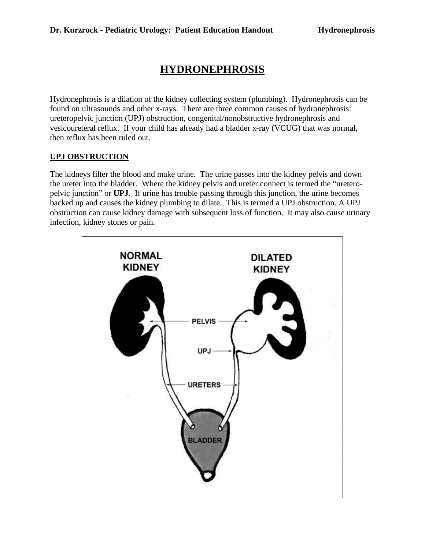# **HYDRONEPHROSIS**

Hydronephrosis is a dilation of the kidney collecting system (plumbing). Hydronephrosis can be found on ultrasounds and other x-rays. There are three common causes of hydronephrosis: ureteropelvic junction (UPJ) obstruction, congenital/nonobstructive hydronephrosis and vesicoureteral reflux. If your child has already had a bladder x-ray (VCUG) that was normal, then reflux has been ruled out.

# **UPJ OBSTRUCTION**

The kidneys filter the blood and make urine. The urine passes into the kidney pelvis and down the ureter into the bladder. Where the kidney pelvis and ureter connect is termed the "ureteropelvic junction" or **UPJ**. If urine has trouble passing through this junction, the urine becomes backed up and causes the kidney plumbing to dilate. This is termed a UPJ obstruction. A UPJ obstruction can cause kidney damage with subsequent loss of function. It may also cause urinary infection, kidney stones or pain.